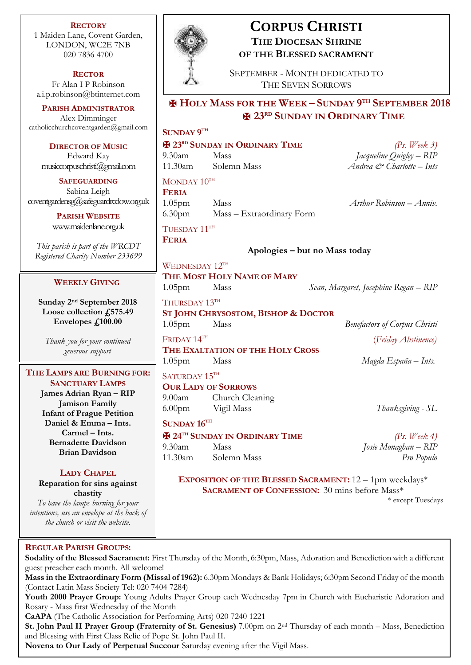**RECTORY** 1 Maiden Lane, Covent Garden, LONDON, WC2E 7NB 020 7836 4700

**RECTOR** Fr Alan I P Robinson [a.i.p.robinson@btinternet.com](mailto:a.i.p.robinson@btinternet.com)

**PARISH ADMINISTRATOR** Alex Dimminger [catholicchurchcoventgarden@gmail.com](mailto:catholicchurchcoventgarden@gmail.com)

**DIRECTOR OF MUSIC** Edward Kay musiccorpuschristi@gmail.com

**SAFEGUARDING** Sabina Leigh [coventgardensg@safeguardrcdow.org.uk](mailto:coventgardensg@safeguardrcdow.org.uk)

> **PARISH WEBSITE** [www.maidenlane.org.uk](http://www.maidenlane.org.uk/)

*This parish is part of the WRCDT Registered Charity Number 233699*

## **WEEKLY GIVING**

**Sunday 2 nd September 2018 Loose collection £575.49 Envelopes £100.00**

*Thank you for your continued generous support*

### **THE LAMPS ARE BURNING FOR: SANCTUARY LAMPS**

**James Adrian Ryan – RIP Jamison Family Infant of Prague Petition Daniel & Emma – Ints. Carmel – Ints. Bernadette Davidson Brian Davidson**

## **LADY CHAPEL**

**Reparation for sins against chastity** *To have the lamps burning for your intentions, use an envelope at the back of* 

*the church or visit the website.*

## **REGULAR PARISH GROUPS:**

**Sodality of the Blessed Sacrament:** First Thursday of the Month, 6:30pm, Mass, Adoration and Benediction with a different guest preacher each month. All welcome!

**Mass in the Extraordinary Form (Missal of 1962):** 6.30pm Mondays & Bank Holidays; 6:30pm Second Friday of the month (Contact Latin Mass Society Tel: 020 7404 7284)

**Youth 2000 Prayer Group:** Young Adults Prayer Group each Wednesday 7pm in Church with Eucharistic Adoration and Rosary - Mass first Wednesday of the Month

**CaAPA** (The Catholic Association for Performing Arts) 020 7240 1221

**St. John Paul II Prayer Group (Fraternity of St. Genesius)** 7.00pm on 2nd Thursday of each month – Mass, Benediction and Blessing with First Class Relic of Pope St. John Paul II.

**Novena to Our Lady of Perpetual Succour** Saturday evening after the Vigil Mass.



# **CORPUS CHRISTI THE DIOCESAN SHRINE OF THE BLESSED SACRAMENT**

SEPTEMBER - MONTH DEDICATED TO THE SEVEN SORROWS

## ✠ **HOLY MASS FOR THE WEEK – SUNDAY 9 TH SEPTEMBER 2018** ✠ **23RD SUNDAY IN ORDINARY TIME**

## **SUNDAY 9 TH**

✠ **23RD SUNDAY IN ORDINARY TIME** *(Ps. Week 3)*

9.30am Mass *Jacqueline Quigley – RIP* 11.30am Solemn Mass *Andrea & Charlotte – Ints*

## $MONDAY$   $10^{TH}$

**FERIA** 1.05pm Mass *Arthur Robinson – Anniv.* 6.30pm Mass – Extraordinary Form

**THE MOST HOLY NAME OF MARY**

**ST JOHN CHRYSOSTOM, BISHOP & DOCTOR**

**THE EXALTATION OF THE HOLY CROSS**

TUESDAY 11TH

WEDNESDAY 12TH

THURSDAY 13TH

FRIDAY 14TH

SATURDAY 15TH

**SUNDAY 16TH**

**OUR LADY OF SORROWS** 9.00am Church Cleaning

**FERIA**

**Apologies – but no Mass today**

1.05pm Mass *Sean, Margaret, Josephine Regan – RIP*

1.05pm Mass *Benefactors of Corpus Christi* (*Friday Abstinence)*

1.05pm Mass *Magda España – Ints.*

6.00pm Vigil Mass *Thanksgiving - SL*

✠ **24TH SUNDAY IN ORDINARY TIME** *(Ps. Week 4)* 9.30am Mass *Josie Monaghan – RIP* 11.30am Solemn Mass *Pro Populo*

**EXPOSITION OF THE BLESSED SACRAMENT:** 12 – 1pm weekdays\* **SACRAMENT OF CONFESSION:** 30 mins before Mass\*

\* except Tuesdays